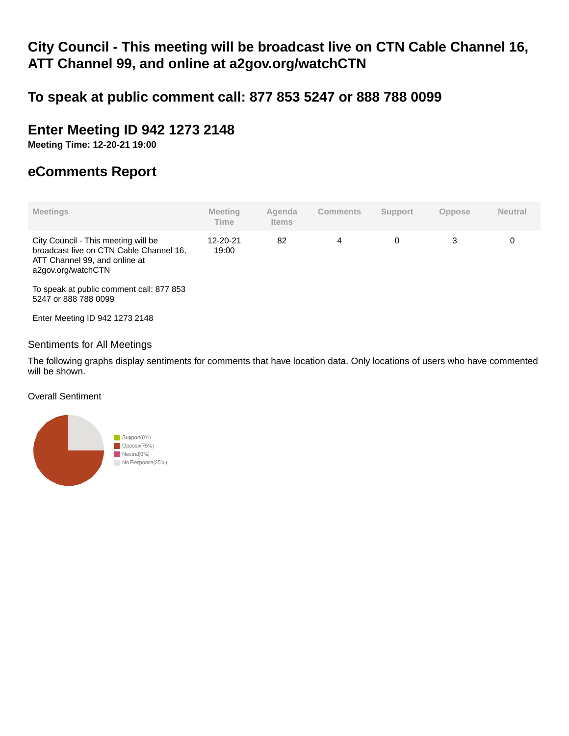# **City Council - This meeting will be broadcast live on CTN Cable Channel 16, ATT Channel 99, and online at a2gov.org/watchCTN**

# **To speak at public comment call: 877 853 5247 or 888 788 0099**

# **Enter Meeting ID 942 1273 2148**

**Meeting Time: 12-20-21 19:00**

# **eComments Report**

| <b>Meetings</b>                                                                                                                       | <b>Meeting</b><br>Time | Agenda<br><b>Items</b> | <b>Comments</b> | <b>Support</b> | <b>Oppose</b> | <b>Neutral</b> |
|---------------------------------------------------------------------------------------------------------------------------------------|------------------------|------------------------|-----------------|----------------|---------------|----------------|
| City Council - This meeting will be<br>broadcast live on CTN Cable Channel 16,<br>ATT Channel 99, and online at<br>a2gov.org/watchCTN | 12-20-21<br>19:00      | 82                     | 4               | 0              | 3             | 0              |
| To speak at public comment call: 877 853<br>5247 or 888 788 0099                                                                      |                        |                        |                 |                |               |                |
| Enter Meeting ID 942 1273 2148                                                                                                        |                        |                        |                 |                |               |                |

## Sentiments for All Meetings

The following graphs display sentiments for comments that have location data. Only locations of users who have commented will be shown.

### Overall Sentiment

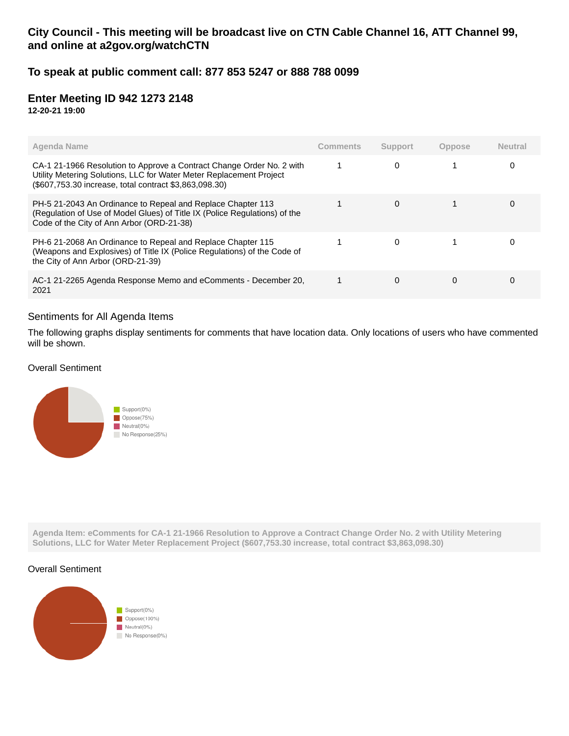# **City Council - This meeting will be broadcast live on CTN Cable Channel 16, ATT Channel 99, and online at a2gov.org/watchCTN**

## **To speak at public comment call: 877 853 5247 or 888 788 0099**

## **Enter Meeting ID 942 1273 2148**

**12-20-21 19:00**

| Agenda Name                                                                                                                                                                                            | Comments | Support | <b>Oppose</b> | <b>Neutral</b> |
|--------------------------------------------------------------------------------------------------------------------------------------------------------------------------------------------------------|----------|---------|---------------|----------------|
| CA-1 21-1966 Resolution to Approve a Contract Change Order No. 2 with<br>Utility Metering Solutions, LLC for Water Meter Replacement Project<br>(\$607,753.30 increase, total contract \$3,863,098.30) |          | 0       |               | 0              |
| PH-5 21-2043 An Ordinance to Repeal and Replace Chapter 113<br>(Regulation of Use of Model Glues) of Title IX (Police Regulations) of the<br>Code of the City of Ann Arbor (ORD-21-38)                 |          | 0       |               | O              |
| PH-6 21-2068 An Ordinance to Repeal and Replace Chapter 115<br>(Weapons and Explosives) of Title IX (Police Regulations) of the Code of<br>the City of Ann Arbor (ORD-21-39)                           |          | 0       |               |                |
| AC-1 21-2265 Agenda Response Memo and eComments - December 20,<br>2021                                                                                                                                 |          | 0       | 0             | 0              |

#### Sentiments for All Agenda Items

The following graphs display sentiments for comments that have location data. Only locations of users who have commented will be shown.

#### Overall Sentiment



**Agenda Item: eComments for CA-1 21-1966 Resolution to Approve a Contract Change Order No. 2 with Utility Metering Solutions, LLC for Water Meter Replacement Project (\$607,753.30 increase, total contract \$3,863,098.30)**

#### Overall Sentiment

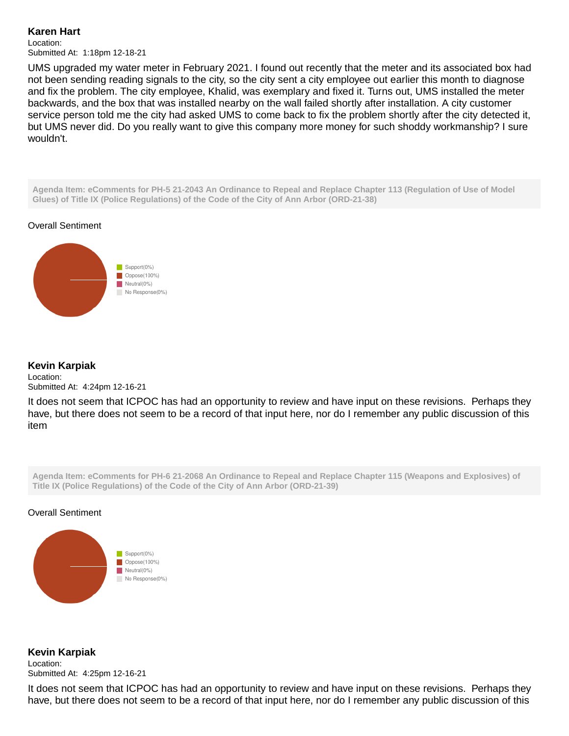### **Karen Hart**

Location: Submitted At: 1:18pm 12-18-21

UMS upgraded my water meter in February 2021. I found out recently that the meter and its associated box had not been sending reading signals to the city, so the city sent a city employee out earlier this month to diagnose and fix the problem. The city employee, Khalid, was exemplary and fixed it. Turns out, UMS installed the meter backwards, and the box that was installed nearby on the wall failed shortly after installation. A city customer service person told me the city had asked UMS to come back to fix the problem shortly after the city detected it, but UMS never did. Do you really want to give this company more money for such shoddy workmanship? I sure wouldn't.

**Agenda Item: eComments for PH-5 21-2043 An Ordinance to Repeal and Replace Chapter 113 (Regulation of Use of Model Glues) of Title IX (Police Regulations) of the Code of the City of Ann Arbor (ORD-21-38)**





### **Kevin Karpiak**

Location: Submitted At: 4:24pm 12-16-21

It does not seem that ICPOC has had an opportunity to review and have input on these revisions. Perhaps they have, but there does not seem to be a record of that input here, nor do I remember any public discussion of this item

**Agenda Item: eComments for PH-6 21-2068 An Ordinance to Repeal and Replace Chapter 115 (Weapons and Explosives) of Title IX (Police Regulations) of the Code of the City of Ann Arbor (ORD-21-39)**

#### Overall Sentiment



**Kevin Karpiak** Location: Submitted At: 4:25pm 12-16-21

It does not seem that ICPOC has had an opportunity to review and have input on these revisions. Perhaps they have, but there does not seem to be a record of that input here, nor do I remember any public discussion of this